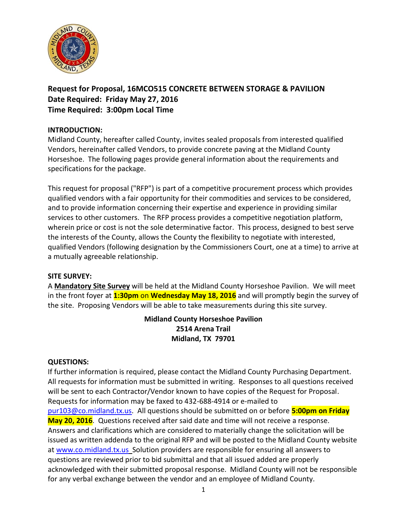

# **Request for Proposal, 16MCO515 CONCRETE BETWEEN STORAGE & PAVILION Date Required: Friday May 27, 2016 Time Required: 3:00pm Local Time**

### **INTRODUCTION:**

Midland County, hereafter called County, invites sealed proposals from interested qualified Vendors, hereinafter called Vendors, to provide concrete paving at the Midland County Horseshoe. The following pages provide general information about the requirements and specifications for the package.

This request for proposal ("RFP") is part of a competitive procurement process which provides qualified vendors with a fair opportunity for their commodities and services to be considered, and to provide information concerning their expertise and experience in providing similar services to other customers. The RFP process provides a competitive negotiation platform, wherein price or cost is not the sole determinative factor. This process, designed to best serve the interests of the County, allows the County the flexibility to negotiate with interested, qualified Vendors (following designation by the Commissioners Court, one at a time) to arrive at a mutually agreeable relationship.

#### **SITE SURVEY:**

A **Mandatory Site Survey** will be held at the Midland County Horseshoe Pavilion. We will meet in the front foyer at **1:30pm** on **Wednesday May 18, 2016** and will promptly begin the survey of the site. Proposing Vendors will be able to take measurements during this site survey.

## **Midland County Horseshoe Pavilion 2514 Arena Trail Midland, TX 79701**

#### **QUESTIONS:**

If further information is required, please contact the Midland County Purchasing Department. All requests for information must be submitted in writing. Responses to all questions received will be sent to each Contractor/Vendor known to have copies of the Request for Proposal. Requests for information may be faxed to 432-688-4914 or e-mailed to [pur103@co.midland.tx.us.](mailto:pur103@co.midland.tx.us) All questions should be submitted on or before **5:00pm on Friday May 20, 2016**. Questions received after said date and time will not receive a response. Answers and clarifications which are considered to materially change the solicitation will be issued as written addenda to the original RFP and will be posted to the Midland County website at www.co.midland.tx.us\_Solution providers are responsible for ensuring all answers to questions are reviewed prior to bid submittal and that all issued added are properly acknowledged with their submitted proposal response. Midland County will not be responsible for any verbal exchange between the vendor and an employee of Midland County.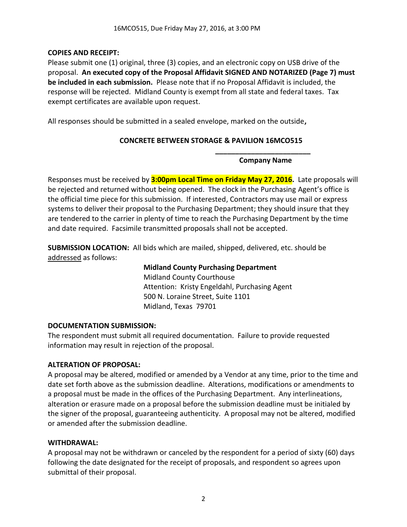### **COPIES AND RECEIPT:**

Please submit one (1) original, three (3) copies, and an electronic copy on USB drive of the proposal. **An executed copy of the Proposal Affidavit SIGNED AND NOTARIZED (Page 7) must be included in each submission.** Please note that if no Proposal Affidavit is included, the response will be rejected. Midland County is exempt from all state and federal taxes. Tax exempt certificates are available upon request.

All responses should be submitted in a sealed envelope, marked on the outside**,** 

### **CONCRETE BETWEEN STORAGE & PAVILION 16MCO515**

**\_\_\_\_\_\_\_\_\_\_\_\_\_\_\_\_\_\_\_\_\_\_\_\_ Company Name**

Responses must be received by **3:00pm Local Time on Friday May 27, 2016.** Late proposals will be rejected and returned without being opened. The clock in the Purchasing Agent's office is the official time piece for this submission. If interested, Contractors may use mail or express systems to deliver their proposal to the Purchasing Department; they should insure that they are tendered to the carrier in plenty of time to reach the Purchasing Department by the time and date required. Facsimile transmitted proposals shall not be accepted.

**SUBMISSION LOCATION:** All bids which are mailed, shipped, delivered, etc. should be addressed as follows:

> **Midland County Purchasing Department** Midland County Courthouse Attention: Kristy Engeldahl, Purchasing Agent 500 N. Loraine Street, Suite 1101 Midland, Texas 79701

#### **DOCUMENTATION SUBMISSION:**

The respondent must submit all required documentation. Failure to provide requested information may result in rejection of the proposal.

#### **ALTERATION OF PROPOSAL:**

A proposal may be altered, modified or amended by a Vendor at any time, prior to the time and date set forth above as the submission deadline. Alterations, modifications or amendments to a proposal must be made in the offices of the Purchasing Department. Any interlineations, alteration or erasure made on a proposal before the submission deadline must be initialed by the signer of the proposal, guaranteeing authenticity. A proposal may not be altered, modified or amended after the submission deadline.

#### **WITHDRAWAL:**

A proposal may not be withdrawn or canceled by the respondent for a period of sixty (60) days following the date designated for the receipt of proposals, and respondent so agrees upon submittal of their proposal.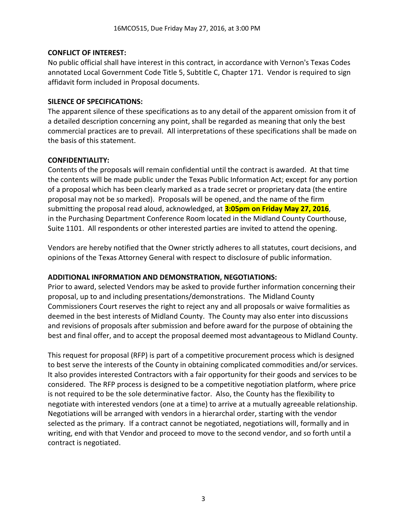### **CONFLICT OF INTEREST:**

No public official shall have interest in this contract, in accordance with Vernon's Texas Codes annotated Local Government Code Title 5, Subtitle C, Chapter 171. Vendor is required to sign affidavit form included in Proposal documents.

#### **SILENCE OF SPECIFICATIONS:**

The apparent silence of these specifications as to any detail of the apparent omission from it of a detailed description concerning any point, shall be regarded as meaning that only the best commercial practices are to prevail. All interpretations of these specifications shall be made on the basis of this statement.

#### **CONFIDENTIALITY:**

Contents of the proposals will remain confidential until the contract is awarded. At that time the contents will be made public under the Texas Public Information Act; except for any portion of a proposal which has been clearly marked as a trade secret or proprietary data (the entire proposal may not be so marked). Proposals will be opened, and the name of the firm submitting the proposal read aloud, acknowledged, at **3:05pm on Friday May 27, 2016**, in the Purchasing Department Conference Room located in the Midland County Courthouse, Suite 1101. All respondents or other interested parties are invited to attend the opening.

Vendors are hereby notified that the Owner strictly adheres to all statutes, court decisions, and opinions of the Texas Attorney General with respect to disclosure of public information.

#### **ADDITIONAL INFORMATION AND DEMONSTRATION, NEGOTIATIONS:**

Prior to award, selected Vendors may be asked to provide further information concerning their proposal, up to and including presentations/demonstrations. The Midland County Commissioners Court reserves the right to reject any and all proposals or waive formalities as deemed in the best interests of Midland County. The County may also enter into discussions and revisions of proposals after submission and before award for the purpose of obtaining the best and final offer, and to accept the proposal deemed most advantageous to Midland County.

This request for proposal (RFP) is part of a competitive procurement process which is designed to best serve the interests of the County in obtaining complicated commodities and/or services. It also provides interested Contractors with a fair opportunity for their goods and services to be considered. The RFP process is designed to be a competitive negotiation platform, where price is not required to be the sole determinative factor. Also, the County has the flexibility to negotiate with interested vendors (one at a time) to arrive at a mutually agreeable relationship. Negotiations will be arranged with vendors in a hierarchal order, starting with the vendor selected as the primary. If a contract cannot be negotiated, negotiations will, formally and in writing, end with that Vendor and proceed to move to the second vendor, and so forth until a contract is negotiated.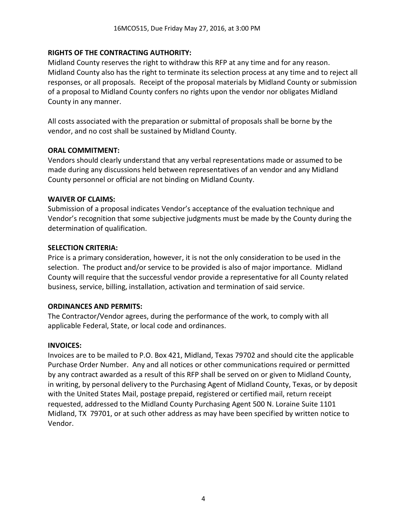### **RIGHTS OF THE CONTRACTING AUTHORITY:**

Midland County reserves the right to withdraw this RFP at any time and for any reason. Midland County also has the right to terminate its selection process at any time and to reject all responses, or all proposals. Receipt of the proposal materials by Midland County or submission of a proposal to Midland County confers no rights upon the vendor nor obligates Midland County in any manner.

All costs associated with the preparation or submittal of proposals shall be borne by the vendor, and no cost shall be sustained by Midland County.

#### **ORAL COMMITMENT:**

Vendors should clearly understand that any verbal representations made or assumed to be made during any discussions held between representatives of an vendor and any Midland County personnel or official are not binding on Midland County.

#### **WAIVER OF CLAIMS:**

Submission of a proposal indicates Vendor's acceptance of the evaluation technique and Vendor's recognition that some subjective judgments must be made by the County during the determination of qualification.

#### **SELECTION CRITERIA:**

Price is a primary consideration, however, it is not the only consideration to be used in the selection. The product and/or service to be provided is also of major importance. Midland County will require that the successful vendor provide a representative for all County related business, service, billing, installation, activation and termination of said service.

#### **ORDINANCES AND PERMITS:**

The Contractor/Vendor agrees, during the performance of the work, to comply with all applicable Federal, State, or local code and ordinances.

#### **INVOICES:**

Invoices are to be mailed to P.O. Box 421, Midland, Texas 79702 and should cite the applicable Purchase Order Number. Any and all notices or other communications required or permitted by any contract awarded as a result of this RFP shall be served on or given to Midland County, in writing, by personal delivery to the Purchasing Agent of Midland County, Texas, or by deposit with the United States Mail, postage prepaid, registered or certified mail, return receipt requested, addressed to the Midland County Purchasing Agent 500 N. Loraine Suite 1101 Midland, TX 79701, or at such other address as may have been specified by written notice to Vendor.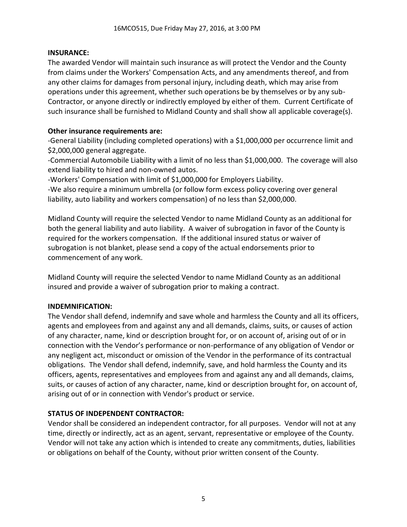#### **INSURANCE:**

The awarded Vendor will maintain such insurance as will protect the Vendor and the County from claims under the Workers' Compensation Acts, and any amendments thereof, and from any other claims for damages from personal injury, including death, which may arise from operations under this agreement, whether such operations be by themselves or by any sub-Contractor, or anyone directly or indirectly employed by either of them. Current Certificate of such insurance shall be furnished to Midland County and shall show all applicable coverage(s).

#### **Other insurance requirements are:**

-General Liability (including completed operations) with a \$1,000,000 per occurrence limit and \$2,000,000 general aggregate.

-Commercial Automobile Liability with a limit of no less than \$1,000,000. The coverage will also extend liability to hired and non-owned autos.

-Workers' Compensation with limit of \$1,000,000 for Employers Liability.

-We also require a minimum umbrella (or follow form excess policy covering over general liability, auto liability and workers compensation) of no less than \$2,000,000.

Midland County will require the selected Vendor to name Midland County as an additional for both the general liability and auto liability. A waiver of subrogation in favor of the County is required for the workers compensation. If the additional insured status or waiver of subrogation is not blanket, please send a copy of the actual endorsements prior to commencement of any work.

Midland County will require the selected Vendor to name Midland County as an additional insured and provide a waiver of subrogation prior to making a contract.

#### **INDEMNIFICATION:**

The Vendor shall defend, indemnify and save whole and harmless the County and all its officers, agents and employees from and against any and all demands, claims, suits, or causes of action of any character, name, kind or description brought for, or on account of, arising out of or in connection with the Vendor's performance or non-performance of any obligation of Vendor or any negligent act, misconduct or omission of the Vendor in the performance of its contractual obligations. The Vendor shall defend, indemnify, save, and hold harmless the County and its officers, agents, representatives and employees from and against any and all demands, claims, suits, or causes of action of any character, name, kind or description brought for, on account of, arising out of or in connection with Vendor's product or service.

#### **STATUS OF INDEPENDENT CONTRACTOR:**

Vendor shall be considered an independent contractor, for all purposes. Vendor will not at any time, directly or indirectly, act as an agent, servant, representative or employee of the County. Vendor will not take any action which is intended to create any commitments, duties, liabilities or obligations on behalf of the County, without prior written consent of the County.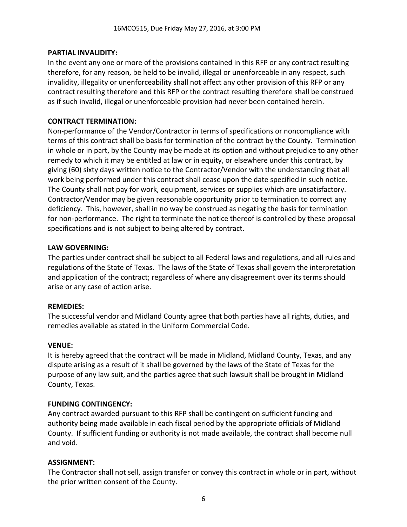#### **PARTIAL INVALIDITY:**

In the event any one or more of the provisions contained in this RFP or any contract resulting therefore, for any reason, be held to be invalid, illegal or unenforceable in any respect, such invalidity, illegality or unenforceability shall not affect any other provision of this RFP or any contract resulting therefore and this RFP or the contract resulting therefore shall be construed as if such invalid, illegal or unenforceable provision had never been contained herein.

### **CONTRACT TERMINATION:**

Non-performance of the Vendor/Contractor in terms of specifications or noncompliance with terms of this contract shall be basis for termination of the contract by the County. Termination in whole or in part, by the County may be made at its option and without prejudice to any other remedy to which it may be entitled at law or in equity, or elsewhere under this contract, by giving (60) sixty days written notice to the Contractor/Vendor with the understanding that all work being performed under this contract shall cease upon the date specified in such notice. The County shall not pay for work, equipment, services or supplies which are unsatisfactory. Contractor/Vendor may be given reasonable opportunity prior to termination to correct any deficiency. This, however, shall in no way be construed as negating the basis for termination for non-performance. The right to terminate the notice thereof is controlled by these proposal specifications and is not subject to being altered by contract.

#### **LAW GOVERNING:**

The parties under contract shall be subject to all Federal laws and regulations, and all rules and regulations of the State of Texas. The laws of the State of Texas shall govern the interpretation and application of the contract; regardless of where any disagreement over its terms should arise or any case of action arise.

#### **REMEDIES:**

The successful vendor and Midland County agree that both parties have all rights, duties, and remedies available as stated in the Uniform Commercial Code.

#### **VENUE:**

It is hereby agreed that the contract will be made in Midland, Midland County, Texas, and any dispute arising as a result of it shall be governed by the laws of the State of Texas for the purpose of any law suit, and the parties agree that such lawsuit shall be brought in Midland County, Texas.

#### **FUNDING CONTINGENCY:**

Any contract awarded pursuant to this RFP shall be contingent on sufficient funding and authority being made available in each fiscal period by the appropriate officials of Midland County. If sufficient funding or authority is not made available, the contract shall become null and void.

#### **ASSIGNMENT:**

The Contractor shall not sell, assign transfer or convey this contract in whole or in part, without the prior written consent of the County.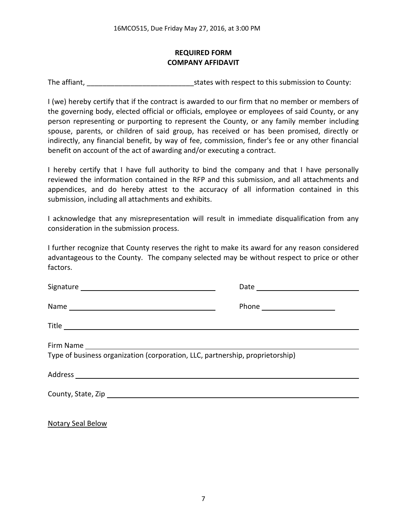## **REQUIRED FORM COMPANY AFFIDAVIT**

The affiant, The affiant,  $\frac{1}{2}$  is tates with respect to this submission to County:

I (we) hereby certify that if the contract is awarded to our firm that no member or members of the governing body, elected official or officials, employee or employees of said County, or any person representing or purporting to represent the County, or any family member including spouse, parents, or children of said group, has received or has been promised, directly or indirectly, any financial benefit, by way of fee, commission, finder's fee or any other financial benefit on account of the act of awarding and/or executing a contract.

I hereby certify that I have full authority to bind the company and that I have personally reviewed the information contained in the RFP and this submission, and all attachments and appendices, and do hereby attest to the accuracy of all information contained in this submission, including all attachments and exhibits.

I acknowledge that any misrepresentation will result in immediate disqualification from any consideration in the submission process.

I further recognize that County reserves the right to make its award for any reason considered advantageous to the County. The company selected may be without respect to price or other factors.

| Type of business organization (corporation, LLC, partnership, proprietorship) |
|-------------------------------------------------------------------------------|
|                                                                               |
|                                                                               |
|                                                                               |

Notary Seal Below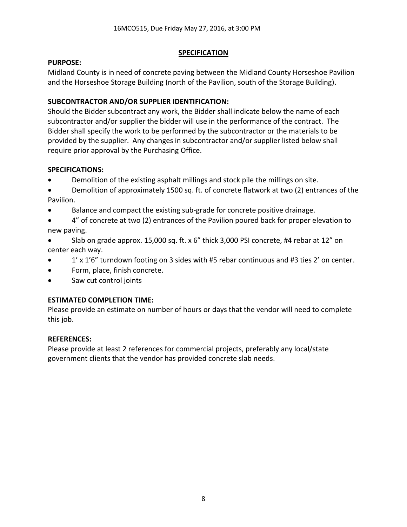### **SPECIFICATION**

### **PURPOSE:**

Midland County is in need of concrete paving between the Midland County Horseshoe Pavilion and the Horseshoe Storage Building (north of the Pavilion, south of the Storage Building).

## **SUBCONTRACTOR AND/OR SUPPLIER IDENTIFICATION:**

Should the Bidder subcontract any work, the Bidder shall indicate below the name of each subcontractor and/or supplier the bidder will use in the performance of the contract. The Bidder shall specify the work to be performed by the subcontractor or the materials to be provided by the supplier. Any changes in subcontractor and/or supplier listed below shall require prior approval by the Purchasing Office.

## **SPECIFICATIONS:**

- Demolition of the existing asphalt millings and stock pile the millings on site.
- Demolition of approximately 1500 sq. ft. of concrete flatwork at two (2) entrances of the Pavilion.
- Balance and compact the existing sub-grade for concrete positive drainage.
- 4" of concrete at two (2) entrances of the Pavilion poured back for proper elevation to new paving.
- Slab on grade approx. 15,000 sq. ft. x 6" thick 3,000 PSI concrete, #4 rebar at 12" on center each way.
- 1' x 1'6" turndown footing on 3 sides with #5 rebar continuous and #3 ties 2' on center.
- Form, place, finish concrete.
- Saw cut control joints

# **ESTIMATED COMPLETION TIME:**

Please provide an estimate on number of hours or days that the vendor will need to complete this job.

## **REFERENCES:**

Please provide at least 2 references for commercial projects, preferably any local/state government clients that the vendor has provided concrete slab needs.